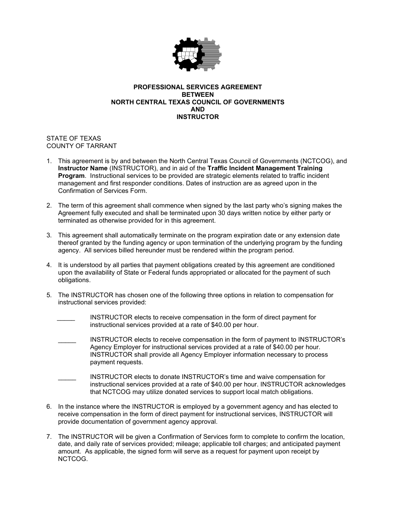

## **PROFESSIONAL SERVICES AGREEMENT BETWEEN NORTH CENTRAL TEXAS COUNCIL OF GOVERNMENTS AND INSTRUCTOR**

STATE OF TEXAS COUNTY OF TARRANT

- 1. This agreement is by and between the North Central Texas Council of Governments (NCTCOG), and **Instructor Name** (INSTRUCTOR), and in aid of the **Traffic Incident Management Training Program**. Instructional services to be provided are strategic elements related to traffic incident management and first responder conditions. Dates of instruction are as agreed upon in the Confirmation of Services Form.
- 2. The term of this agreement shall commence when signed by the last party who's signing makes the Agreement fully executed and shall be terminated upon 30 days written notice by either party or terminated as otherwise provided for in this agreement.
- 3. This agreement shall automatically terminate on the program expiration date or any extension date thereof granted by the funding agency or upon termination of the underlying program by the funding agency. All services billed hereunder must be rendered within the program period.
- 4. It is understood by all parties that payment obligations created by this agreement are conditioned upon the availability of State or Federal funds appropriated or allocated for the payment of such obligations.
- 5. The INSTRUCTOR has chosen one of the following three options in relation to compensation for instructional services provided:
	- INSTRUCTOR elects to receive compensation in the form of direct payment for instructional services provided at a rate of \$40.00 per hour.
	- INSTRUCTOR elects to receive compensation in the form of payment to INSTRUCTOR's Agency Employer for instructional services provided at a rate of \$40.00 per hour. INSTRUCTOR shall provide all Agency Employer information necessary to process payment requests.
	- INSTRUCTOR elects to donate INSTRUCTOR's time and waive compensation for instructional services provided at a rate of \$40.00 per hour. INSTRUCTOR acknowledges that NCTCOG may utilize donated services to support local match obligations.
- 6. In the instance where the INSTRUCTOR is employed by a government agency and has elected to receive compensation in the form of direct payment for instructional services, INSTRUCTOR will provide documentation of government agency approval.
- 7. The INSTRUCTOR will be given a Confirmation of Services form to complete to confirm the location, date, and daily rate of services provided; mileage; applicable toll charges; and anticipated payment amount. As applicable, the signed form will serve as a request for payment upon receipt by NCTCOG.